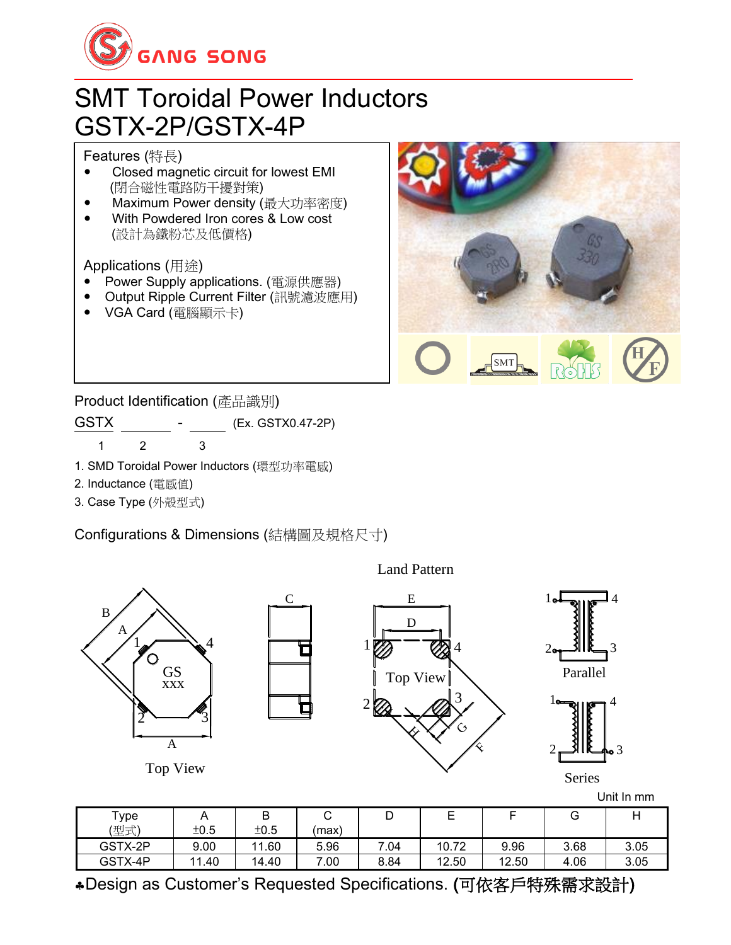

## SMT Toroidal Power Inductors GSTX-2P/GSTX-4P

Features (特長)

- Closed magnetic circuit for lowest EMI (閉合磁性電路防干擾對策)
- Maximum Power density (最大功率密度)
- With Powdered Iron cores & Low cost (設計為鐵粉芯及低價格)

Applications (用途)

- Power Supply applications. (電源供應器)
- Output Ripple Current Filter (訊號濾波應用)
- VGA Card (電腦顯示卡)



Product Identification (產品識別)

GSTX - (Ex. GSTX0.47-2P) 1 2 3

- 1. SMD Toroidal Power Inductors (環型功率電感)
- 2. Inductance (電感值)
- 3. Case Type (外殼型式)

Configurations & Dimensions (結構圖及規格尺寸)



Design as Customer's Requested Specifications. (可依客戶特殊需求設計)

GSTX-4P | 11.40 | 14.40 | 7.00 | 8.84 | 12.50 | 12.50 | 4.06 | 3.05

Land Pattern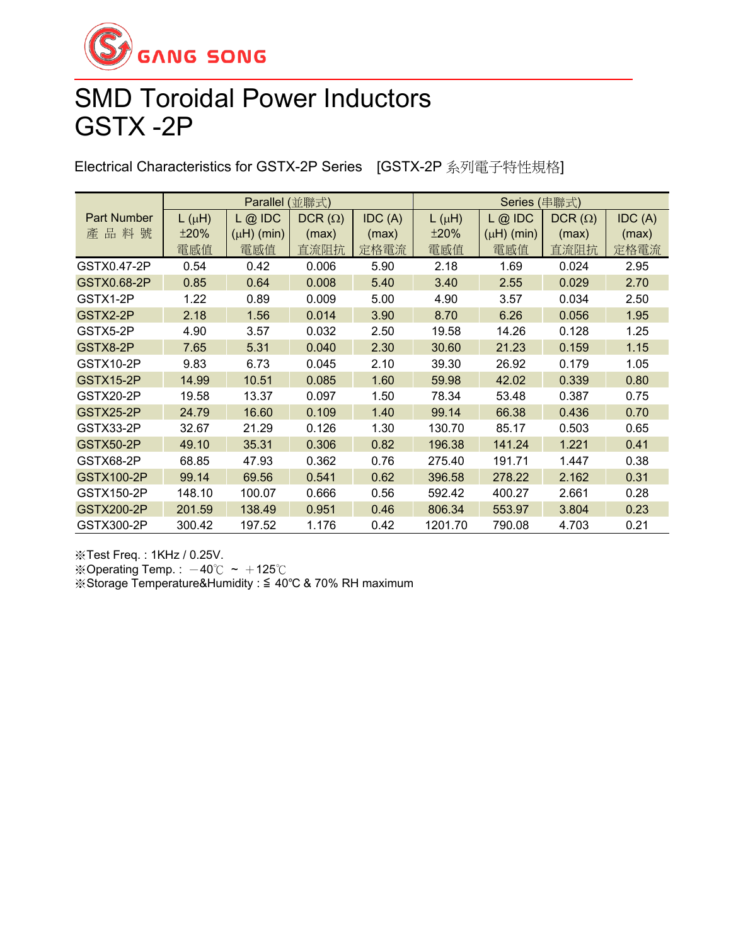

## SMD Toroidal Power Inductors GSTX -2P

Electrical Characteristics for GSTX-2P Series [GSTX-2P 系列電子特性規格]

|                    | Parallel<br>(並聯式) |                 |               |        | Series (串聯式) |                 |               |        |
|--------------------|-------------------|-----------------|---------------|--------|--------------|-----------------|---------------|--------|
| <b>Part Number</b> | $L(\mu H)$        | $L$ @ IDC       | $DCR(\Omega)$ | IDC(A) | $L(\mu H)$   | $L$ @ IDC       | $DCR(\Omega)$ | IDC(A) |
| 產品料<br>號           | ±20%              | $(\mu H)$ (min) | (max)         | (max)  | ±20%         | $(\mu H)$ (min) | (max)         | (max)  |
|                    | 電感值               | 電感值             | 直流阻抗          | 定格電流   | 電感值          | 電感值             | 直流阻抗          | 定格電流   |
| GSTX0.47-2P        | 0.54              | 0.42            | 0.006         | 5.90   | 2.18         | 1.69            | 0.024         | 2.95   |
| GSTX0.68-2P        | 0.85              | 0.64            | 0.008         | 5.40   | 3.40         | 2.55            | 0.029         | 2.70   |
| GSTX1-2P           | 1.22              | 0.89            | 0.009         | 5.00   | 4.90         | 3.57            | 0.034         | 2.50   |
| GSTX2-2P           | 2.18              | 1.56            | 0.014         | 3.90   | 8.70         | 6.26            | 0.056         | 1.95   |
| GSTX5-2P           | 4.90              | 3.57            | 0.032         | 2.50   | 19.58        | 14.26           | 0.128         | 1.25   |
| GSTX8-2P           | 7.65              | 5.31            | 0.040         | 2.30   | 30.60        | 21.23           | 0.159         | 1.15   |
| GSTX10-2P          | 9.83              | 6.73            | 0.045         | 2.10   | 39.30        | 26.92           | 0.179         | 1.05   |
| GSTX15-2P          | 14.99             | 10.51           | 0.085         | 1.60   | 59.98        | 42.02           | 0.339         | 0.80   |
| GSTX20-2P          | 19.58             | 13.37           | 0.097         | 1.50   | 78.34        | 53.48           | 0.387         | 0.75   |
| GSTX25-2P          | 24.79             | 16.60           | 0.109         | 1.40   | 99.14        | 66.38           | 0.436         | 0.70   |
| GSTX33-2P          | 32.67             | 21.29           | 0.126         | 1.30   | 130.70       | 85.17           | 0.503         | 0.65   |
| <b>GSTX50-2P</b>   | 49.10             | 35.31           | 0.306         | 0.82   | 196.38       | 141.24          | 1.221         | 0.41   |
| GSTX68-2P          | 68.85             | 47.93           | 0.362         | 0.76   | 275.40       | 191.71          | 1.447         | 0.38   |
| <b>GSTX100-2P</b>  | 99.14             | 69.56           | 0.541         | 0.62   | 396.58       | 278.22          | 2.162         | 0.31   |
| GSTX150-2P         | 148.10            | 100.07          | 0.666         | 0.56   | 592.42       | 400.27          | 2.661         | 0.28   |
| <b>GSTX200-2P</b>  | 201.59            | 138.49          | 0.951         | 0.46   | 806.34       | 553.97          | 3.804         | 0.23   |
| GSTX300-2P         | 300.42            | 197.52          | 1.176         | 0.42   | 1201.70      | 790.08          | 4.703         | 0.21   |

※Test Freq. : 1KHz / 0.25V.

※Operating Temp. :  $-40^{\circ}$ C ~  $+125^{\circ}$ C

※Storage Temperature&Humidity : ≦ 40℃ & 70% RH maximum